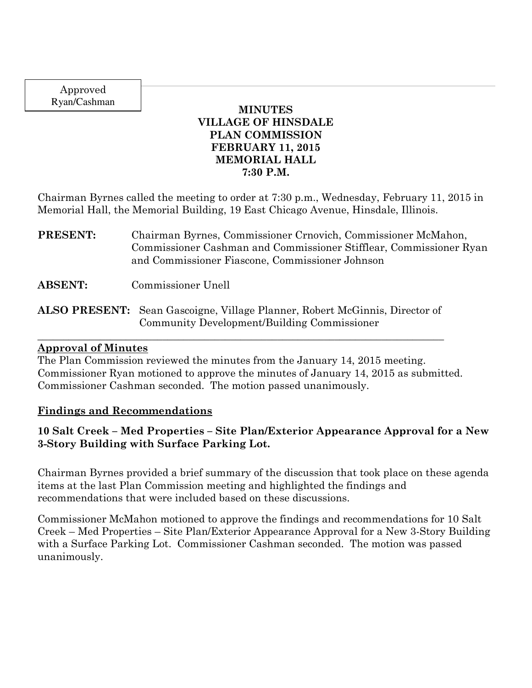Approved Ryan/Cashman

### **MINUTES VILLAGE OF HINSDALE PLAN COMMISSION FEBRUARY 11, 2015 MEMORIAL HALL 7:30 P.M.**

Chairman Byrnes called the meeting to order at 7:30 p.m., Wednesday, February 11, 2015 in Memorial Hall, the Memorial Building, 19 East Chicago Avenue, Hinsdale, Illinois.

**PRESENT:** Chairman Byrnes, Commissioner Crnovich, Commissioner McMahon, Commissioner Cashman and Commissioner Stifflear, Commissioner Ryan and Commissioner Fiascone, Commissioner Johnson

**ABSENT:** Commissioner Unell

**ALSO PRESENT:** Sean Gascoigne, Village Planner, Robert McGinnis, Director of Community Development/Building Commissioner

\_\_\_\_\_\_\_\_\_\_\_\_\_\_\_\_\_\_\_\_\_\_\_\_\_\_\_\_\_\_\_\_\_\_\_\_\_\_\_\_\_\_\_\_\_\_\_\_\_\_\_\_\_\_\_\_\_\_\_\_\_\_\_\_\_\_\_\_\_\_\_\_\_\_\_\_\_\_

### **Approval of Minutes**

The Plan Commission reviewed the minutes from the January 14, 2015 meeting. Commissioner Ryan motioned to approve the minutes of January 14, 2015 as submitted. Commissioner Cashman seconded. The motion passed unanimously.

## **Findings and Recommendations**

## **10 Salt Creek – Med Properties – Site Plan/Exterior Appearance Approval for a New 3-Story Building with Surface Parking Lot.**

Chairman Byrnes provided a brief summary of the discussion that took place on these agenda items at the last Plan Commission meeting and highlighted the findings and recommendations that were included based on these discussions.

Commissioner McMahon motioned to approve the findings and recommendations for 10 Salt Creek – Med Properties – Site Plan/Exterior Appearance Approval for a New 3-Story Building with a Surface Parking Lot. Commissioner Cashman seconded. The motion was passed unanimously.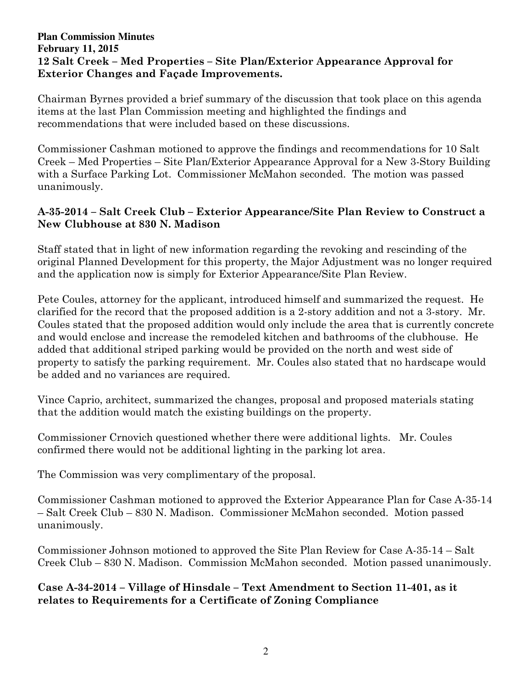### **Plan Commission Minutes February 11, 2015 12 Salt Creek – Med Properties – Site Plan/Exterior Appearance Approval for Exterior Changes and Façade Improvements.**

Chairman Byrnes provided a brief summary of the discussion that took place on this agenda items at the last Plan Commission meeting and highlighted the findings and recommendations that were included based on these discussions.

Commissioner Cashman motioned to approve the findings and recommendations for 10 Salt Creek – Med Properties – Site Plan/Exterior Appearance Approval for a New 3-Story Building with a Surface Parking Lot. Commissioner McMahon seconded. The motion was passed unanimously.

## **A-35-2014 – Salt Creek Club – Exterior Appearance/Site Plan Review to Construct a New Clubhouse at 830 N. Madison**

Staff stated that in light of new information regarding the revoking and rescinding of the original Planned Development for this property, the Major Adjustment was no longer required and the application now is simply for Exterior Appearance/Site Plan Review.

Pete Coules, attorney for the applicant, introduced himself and summarized the request. He clarified for the record that the proposed addition is a 2-story addition and not a 3-story. Mr. Coules stated that the proposed addition would only include the area that is currently concrete and would enclose and increase the remodeled kitchen and bathrooms of the clubhouse. He added that additional striped parking would be provided on the north and west side of property to satisfy the parking requirement. Mr. Coules also stated that no hardscape would be added and no variances are required.

Vince Caprio, architect, summarized the changes, proposal and proposed materials stating that the addition would match the existing buildings on the property.

Commissioner Crnovich questioned whether there were additional lights. Mr. Coules confirmed there would not be additional lighting in the parking lot area.

The Commission was very complimentary of the proposal.

Commissioner Cashman motioned to approved the Exterior Appearance Plan for Case A-35-14 – Salt Creek Club – 830 N. Madison. Commissioner McMahon seconded. Motion passed unanimously.

Commissioner Johnson motioned to approved the Site Plan Review for Case A-35-14 – Salt Creek Club – 830 N. Madison. Commission McMahon seconded. Motion passed unanimously.

**Case A-34-2014 – Village of Hinsdale – Text Amendment to Section 11-401, as it relates to Requirements for a Certificate of Zoning Compliance**